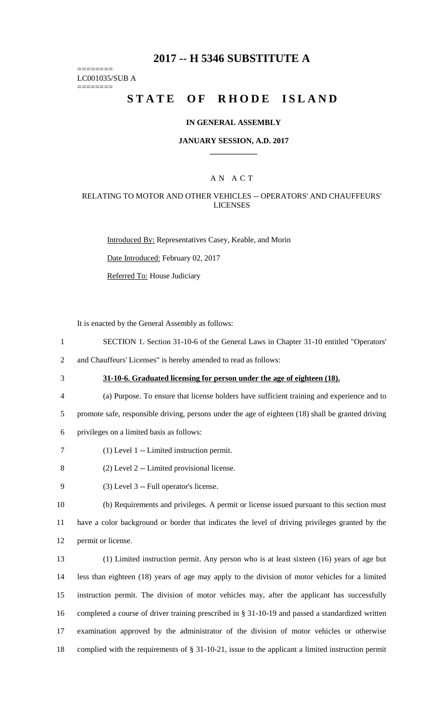## **2017 -- H 5346 SUBSTITUTE A**

======== LC001035/SUB A

========

# **STATE OF RHODE ISLAND**

### **IN GENERAL ASSEMBLY**

### **JANUARY SESSION, A.D. 2017 \_\_\_\_\_\_\_\_\_\_\_\_**

## A N A C T

### RELATING TO MOTOR AND OTHER VEHICLES -- OPERATORS' AND CHAUFFEURS' LICENSES

Introduced By: Representatives Casey, Keable, and Morin

Date Introduced: February 02, 2017

Referred To: House Judiciary

It is enacted by the General Assembly as follows:

1 SECTION 1. Section 31-10-6 of the General Laws in Chapter 31-10 entitled "Operators'

2 and Chauffeurs' Licenses" is hereby amended to read as follows:

# 3 **31-10-6. Graduated licensing for person under the age of eighteen (18).**

- 4 (a) Purpose. To ensure that license holders have sufficient training and experience and to 5 promote safe, responsible driving, persons under the age of eighteen (18) shall be granted driving
- 6 privileges on a limited basis as follows:
- 7 (1) Level 1 -- Limited instruction permit.
- 8 (2) Level 2 -- Limited provisional license.
- 9 (3) Level 3 -- Full operator's license.

10 (b) Requirements and privileges. A permit or license issued pursuant to this section must 11 have a color background or border that indicates the level of driving privileges granted by the 12 permit or license.

 (1) Limited instruction permit. Any person who is at least sixteen (16) years of age but less than eighteen (18) years of age may apply to the division of motor vehicles for a limited instruction permit. The division of motor vehicles may, after the applicant has successfully completed a course of driver training prescribed in § 31-10-19 and passed a standardized written examination approved by the administrator of the division of motor vehicles or otherwise complied with the requirements of § 31-10-21, issue to the applicant a limited instruction permit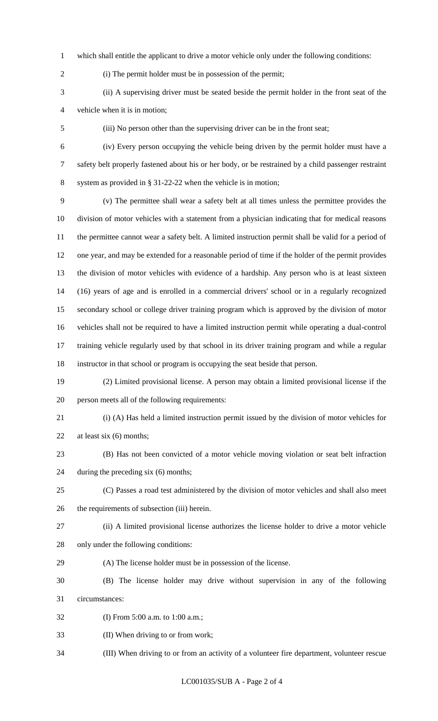which shall entitle the applicant to drive a motor vehicle only under the following conditions:

(i) The permit holder must be in possession of the permit;

 (ii) A supervising driver must be seated beside the permit holder in the front seat of the vehicle when it is in motion;

(iii) No person other than the supervising driver can be in the front seat;

 (iv) Every person occupying the vehicle being driven by the permit holder must have a safety belt properly fastened about his or her body, or be restrained by a child passenger restraint

 system as provided in § 31-22-22 when the vehicle is in motion; (v) The permittee shall wear a safety belt at all times unless the permittee provides the

 division of motor vehicles with a statement from a physician indicating that for medical reasons the permittee cannot wear a safety belt. A limited instruction permit shall be valid for a period of one year, and may be extended for a reasonable period of time if the holder of the permit provides the division of motor vehicles with evidence of a hardship. Any person who is at least sixteen (16) years of age and is enrolled in a commercial drivers' school or in a regularly recognized secondary school or college driver training program which is approved by the division of motor vehicles shall not be required to have a limited instruction permit while operating a dual-control training vehicle regularly used by that school in its driver training program and while a regular instructor in that school or program is occupying the seat beside that person.

- (2) Limited provisional license. A person may obtain a limited provisional license if the
- person meets all of the following requirements:
- 

 (i) (A) Has held a limited instruction permit issued by the division of motor vehicles for 22 at least six (6) months;

- (B) Has not been convicted of a motor vehicle moving violation or seat belt infraction during the preceding six (6) months;
- (C) Passes a road test administered by the division of motor vehicles and shall also meet the requirements of subsection (iii) herein.
- 
- (ii) A limited provisional license authorizes the license holder to drive a motor vehicle
- only under the following conditions:
- (A) The license holder must be in possession of the license.
- (B) The license holder may drive without supervision in any of the following circumstances:
- (I) From 5:00 a.m. to 1:00 a.m.;
- (II) When driving to or from work;
- (III) When driving to or from an activity of a volunteer fire department, volunteer rescue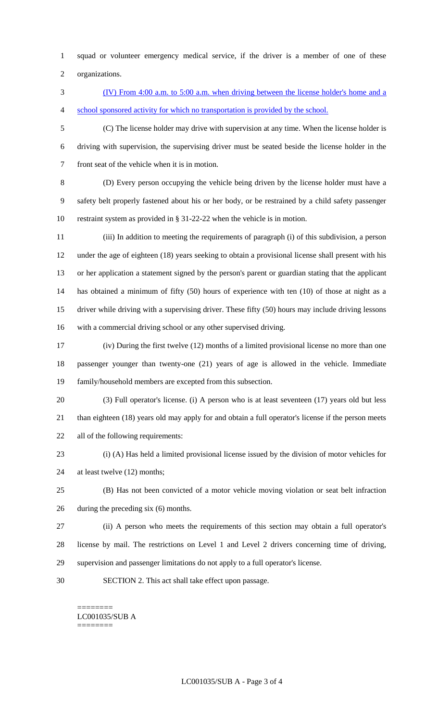squad or volunteer emergency medical service, if the driver is a member of one of these organizations.

 (IV) From 4:00 a.m. to 5:00 a.m. when driving between the license holder's home and a 4 school sponsored activity for which no transportation is provided by the school.

 (C) The license holder may drive with supervision at any time. When the license holder is driving with supervision, the supervising driver must be seated beside the license holder in the front seat of the vehicle when it is in motion.

 (D) Every person occupying the vehicle being driven by the license holder must have a safety belt properly fastened about his or her body, or be restrained by a child safety passenger restraint system as provided in § 31-22-22 when the vehicle is in motion.

 (iii) In addition to meeting the requirements of paragraph (i) of this subdivision, a person under the age of eighteen (18) years seeking to obtain a provisional license shall present with his or her application a statement signed by the person's parent or guardian stating that the applicant has obtained a minimum of fifty (50) hours of experience with ten (10) of those at night as a driver while driving with a supervising driver. These fifty (50) hours may include driving lessons with a commercial driving school or any other supervised driving.

 (iv) During the first twelve (12) months of a limited provisional license no more than one passenger younger than twenty-one (21) years of age is allowed in the vehicle. Immediate family/household members are excepted from this subsection.

- (3) Full operator's license. (i) A person who is at least seventeen (17) years old but less than eighteen (18) years old may apply for and obtain a full operator's license if the person meets all of the following requirements:
- 

 (i) (A) Has held a limited provisional license issued by the division of motor vehicles for at least twelve (12) months;

 (B) Has not been convicted of a motor vehicle moving violation or seat belt infraction during the preceding six (6) months.

 (ii) A person who meets the requirements of this section may obtain a full operator's license by mail. The restrictions on Level 1 and Level 2 drivers concerning time of driving, supervision and passenger limitations do not apply to a full operator's license.

SECTION 2. This act shall take effect upon passage.

#### ======== LC001035/SUB A ========